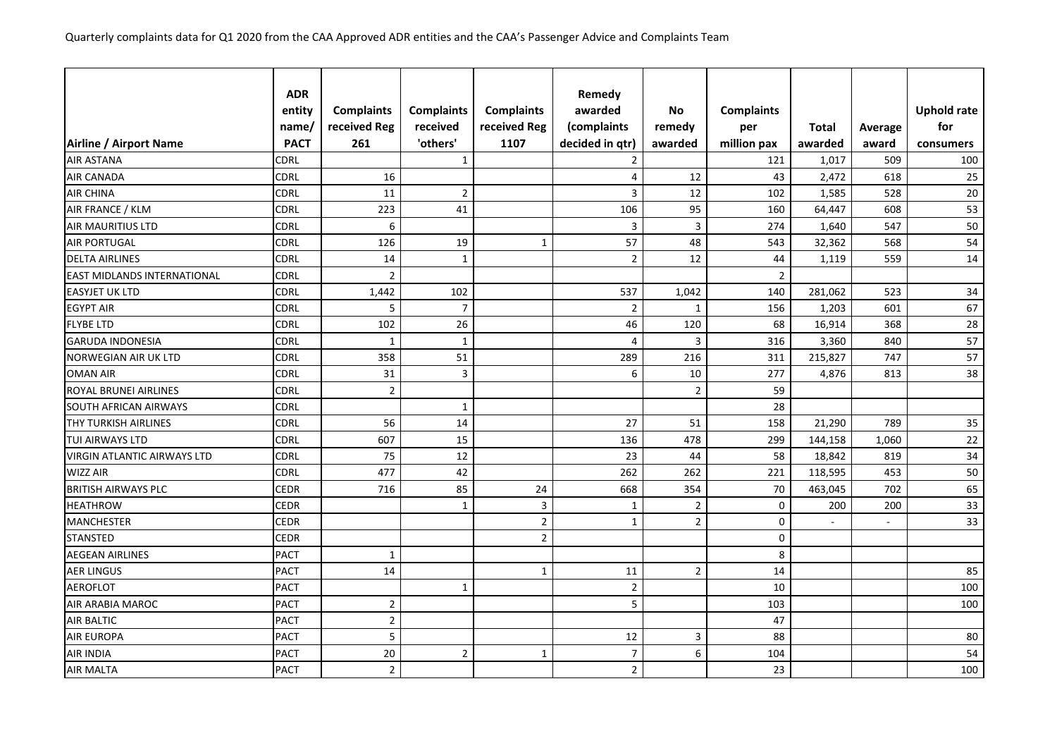|                                    | <b>ADR</b>  |                   |                   |                   | Remedy          |                         |                   |              |         |                    |
|------------------------------------|-------------|-------------------|-------------------|-------------------|-----------------|-------------------------|-------------------|--------------|---------|--------------------|
|                                    | entity      | <b>Complaints</b> | <b>Complaints</b> | <b>Complaints</b> | awarded         | <b>No</b>               | <b>Complaints</b> |              |         | <b>Uphold rate</b> |
|                                    | name/       | received Reg      | received          | received Reg      | (complaints     | remedy                  | per               | <b>Total</b> | Average | for                |
| Airline / Airport Name             | <b>PACT</b> | 261               | 'others'          | 1107              | decided in qtr) | awarded                 | million pax       | awarded      | award   | consumers          |
| <b>AIR ASTANA</b>                  | CDRL        |                   | $\mathbf{1}$      |                   | $\overline{2}$  |                         | 121               | 1,017        | 509     | 100                |
| <b>AIR CANADA</b>                  | <b>CDRL</b> | 16                |                   |                   | 4               | 12                      | 43                | 2,472        | 618     | 25                 |
| <b>AIR CHINA</b>                   | <b>CDRL</b> | 11                | $\overline{2}$    |                   | 3               | 12                      | 102               | 1,585        | 528     | 20                 |
| AIR FRANCE / KLM                   | <b>CDRL</b> | 223               | 41                |                   | 106             | 95                      | 160               | 64,447       | 608     | 53                 |
| <b>AIR MAURITIUS LTD</b>           | <b>CDRL</b> | $\boldsymbol{6}$  |                   |                   | 3               | $\overline{\mathbf{3}}$ | 274               | 1,640        | 547     | 50                 |
| <b>AIR PORTUGAL</b>                | <b>CDRL</b> | 126               | 19                | $\mathbf{1}$      | 57              | 48                      | 543               | 32,362       | 568     | 54                 |
| <b>DELTA AIRLINES</b>              | <b>CDRL</b> | 14                | $\mathbf{1}$      |                   | $\overline{2}$  | 12                      | 44                | 1,119        | 559     | 14                 |
| <b>EAST MIDLANDS INTERNATIONAL</b> | <b>CDRL</b> | $\overline{2}$    |                   |                   |                 |                         | $\overline{2}$    |              |         |                    |
| <b>EASYJET UK LTD</b>              | <b>CDRL</b> | 1,442             | 102               |                   | 537             | 1,042                   | 140               | 281,062      | 523     | 34                 |
| <b>EGYPT AIR</b>                   | <b>CDRL</b> | 5                 | $\overline{7}$    |                   | $\overline{2}$  | $\mathbf{1}$            | 156               | 1,203        | 601     | 67                 |
| <b>FLYBE LTD</b>                   | <b>CDRL</b> | 102               | 26                |                   | 46              | 120                     | 68                | 16,914       | 368     | 28                 |
| <b>GARUDA INDONESIA</b>            | <b>CDRL</b> | $\mathbf{1}$      | $\mathbf{1}$      |                   | 4               | $\overline{3}$          | 316               | 3,360        | 840     | 57                 |
| NORWEGIAN AIR UK LTD               | <b>CDRL</b> | 358               | 51                |                   | 289             | 216                     | 311               | 215,827      | 747     | 57                 |
| <b>OMAN AIR</b>                    | <b>CDRL</b> | 31                | $\mathsf{3}$      |                   | 6               | 10                      | 277               | 4,876        | 813     | 38                 |
| ROYAL BRUNEI AIRLINES              | <b>CDRL</b> | $\sqrt{2}$        |                   |                   |                 | $\overline{2}$          | 59                |              |         |                    |
| <b>SOUTH AFRICAN AIRWAYS</b>       | <b>CDRL</b> |                   | $\mathbf{1}$      |                   |                 |                         | 28                |              |         |                    |
| THY TURKISH AIRLINES               | <b>CDRL</b> | 56                | 14                |                   | 27              | 51                      | 158               | 21,290       | 789     | 35                 |
| <b>TUI AIRWAYS LTD</b>             | <b>CDRL</b> | 607               | 15                |                   | 136             | 478                     | 299               | 144,158      | 1,060   | 22                 |
| <b>VIRGIN ATLANTIC AIRWAYS LTD</b> | <b>CDRL</b> | 75                | 12                |                   | 23              | 44                      | 58                | 18,842       | 819     | 34                 |
| <b>WIZZ AIR</b>                    | <b>CDRL</b> | 477               | 42                |                   | 262             | 262                     | 221               | 118,595      | 453     | 50                 |
| <b>BRITISH AIRWAYS PLC</b>         | <b>CEDR</b> | 716               | 85                | 24                | 668             | 354                     | 70                | 463,045      | 702     | 65                 |
| <b>HEATHROW</b>                    | <b>CEDR</b> |                   | $\mathbf{1}$      | 3                 | $\mathbf{1}$    | $\overline{2}$          | 0                 | 200          | 200     | 33                 |
| <b>MANCHESTER</b>                  | <b>CEDR</b> |                   |                   | $\overline{2}$    | $\mathbf{1}$    | $\mathbf 2$             | 0                 | ÷,           | ÷.      | 33                 |
| <b>STANSTED</b>                    | <b>CEDR</b> |                   |                   | $\overline{2}$    |                 |                         | $\pmb{0}$         |              |         |                    |
| <b>AEGEAN AIRLINES</b>             | <b>PACT</b> | $\mathbf{1}$      |                   |                   |                 |                         | 8                 |              |         |                    |
| <b>AER LINGUS</b>                  | <b>PACT</b> | 14                |                   | $\mathbf{1}$      | 11              | 2                       | 14                |              |         | 85                 |
| <b>AEROFLOT</b>                    | <b>PACT</b> |                   | $\mathbf{1}$      |                   | $\overline{2}$  |                         | 10                |              |         | 100                |
| <b>AIR ARABIA MAROC</b>            | <b>PACT</b> | $\overline{2}$    |                   |                   | 5               |                         | 103               |              |         | 100                |
| <b>AIR BALTIC</b>                  | <b>PACT</b> | $\overline{2}$    |                   |                   |                 |                         | 47                |              |         |                    |
| <b>AIR EUROPA</b>                  | <b>PACT</b> | 5                 |                   |                   | 12              | 3                       | 88                |              |         | 80                 |
| <b>AIR INDIA</b>                   | <b>PACT</b> | 20                | $\overline{2}$    | $\mathbf{1}$      | $\overline{7}$  | 6                       | 104               |              |         | 54                 |
| <b>AIR MALTA</b>                   | <b>PACT</b> | $\overline{2}$    |                   |                   | $\overline{2}$  |                         | 23                |              |         | 100                |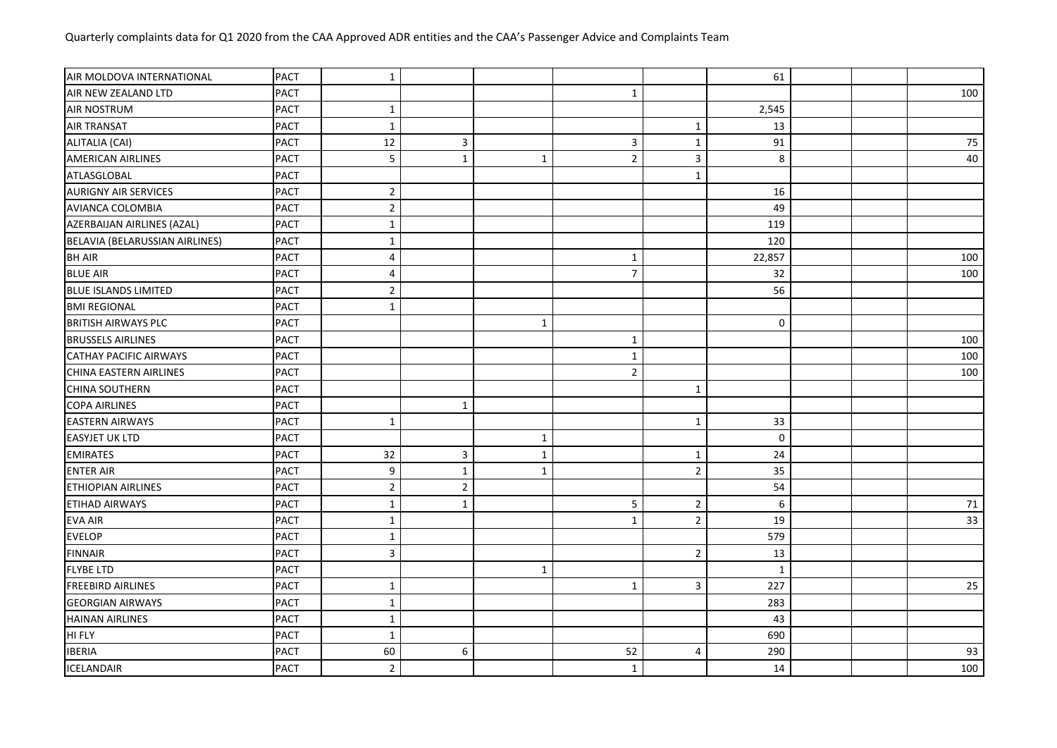| AIR MOLDOVA INTERNATIONAL      | <b>PACT</b> | $\mathbf 1$      |                |              |                |                         | 61                  |  |     |
|--------------------------------|-------------|------------------|----------------|--------------|----------------|-------------------------|---------------------|--|-----|
| AIR NEW ZEALAND LTD            | <b>PACT</b> |                  |                |              | $\mathbf{1}$   |                         |                     |  | 100 |
| AIR NOSTRUM                    | <b>PACT</b> | $\mathbf{1}$     |                |              |                |                         | 2,545               |  |     |
| <b>AIR TRANSAT</b>             | <b>PACT</b> | $\mathbf{1}$     |                |              |                | $\mathbf{1}$            | 13                  |  |     |
| ALITALIA (CAI)                 | <b>PACT</b> | 12               | 3              |              | $\mathbf{3}$   | $\mathbf{1}$            | 91                  |  | 75  |
| <b>AMERICAN AIRLINES</b>       | <b>PACT</b> | 5                | $\mathbf 1$    | $\mathbf{1}$ | $\overline{2}$ | $\overline{\mathbf{3}}$ | $\,8\,$             |  | 40  |
| ATLASGLOBAL                    | <b>PACT</b> |                  |                |              |                | $\mathbf{1}$            |                     |  |     |
| <b>AURIGNY AIR SERVICES</b>    | <b>PACT</b> | $\overline{2}$   |                |              |                |                         | 16                  |  |     |
| AVIANCA COLOMBIA               | <b>PACT</b> | $\overline{2}$   |                |              |                |                         | 49                  |  |     |
| AZERBAIJAN AIRLINES (AZAL)     | <b>PACT</b> | $\mathbf{1}$     |                |              |                |                         | 119                 |  |     |
| BELAVIA (BELARUSSIAN AIRLINES) | <b>PACT</b> | $\mathbf{1}$     |                |              |                |                         | 120                 |  |     |
| <b>BH AIR</b>                  | <b>PACT</b> | $\overline{4}$   |                |              | $\mathbf{1}$   |                         | 22,857              |  | 100 |
| <b>BLUE AIR</b>                | <b>PACT</b> | $\overline{4}$   |                |              | $\overline{7}$ |                         | 32                  |  | 100 |
| <b>BLUE ISLANDS LIMITED</b>    | <b>PACT</b> | $\overline{2}$   |                |              |                |                         | 56                  |  |     |
| <b>BMI REGIONAL</b>            | <b>PACT</b> | $\mathbf{1}$     |                |              |                |                         |                     |  |     |
| <b>BRITISH AIRWAYS PLC</b>     | <b>PACT</b> |                  |                | $\mathbf{1}$ |                |                         | $\mathsf{O}\xspace$ |  |     |
| <b>BRUSSELS AIRLINES</b>       | <b>PACT</b> |                  |                |              | $\mathbf{1}$   |                         |                     |  | 100 |
| <b>CATHAY PACIFIC AIRWAYS</b>  | <b>PACT</b> |                  |                |              | $\mathbf{1}$   |                         |                     |  | 100 |
| CHINA EASTERN AIRLINES         | <b>PACT</b> |                  |                |              | $\overline{2}$ |                         |                     |  | 100 |
| <b>CHINA SOUTHERN</b>          | <b>PACT</b> |                  |                |              |                | $1\,$                   |                     |  |     |
| <b>COPA AIRLINES</b>           | <b>PACT</b> |                  | $\mathbf 1$    |              |                |                         |                     |  |     |
| <b>EASTERN AIRWAYS</b>         | <b>PACT</b> | $\mathbf{1}$     |                |              |                | $\mathbf{1}$            | 33                  |  |     |
| <b>EASYJET UK LTD</b>          | <b>PACT</b> |                  |                | $\mathbf{1}$ |                |                         | 0                   |  |     |
| <b>EMIRATES</b>                | <b>PACT</b> | 32               | $\mathsf 3$    | $\mathbf{1}$ |                | $\mathbf{1}$            | 24                  |  |     |
| <b>ENTER AIR</b>               | <b>PACT</b> | $\boldsymbol{9}$ | $\mathbf{1}$   | $\mathbf{1}$ |                | $\sqrt{2}$              | 35                  |  |     |
| <b>ETHIOPIAN AIRLINES</b>      | <b>PACT</b> | $\overline{2}$   | $\overline{2}$ |              |                |                         | 54                  |  |     |
| <b>ETIHAD AIRWAYS</b>          | <b>PACT</b> | $\mathbf 1$      | $\mathbf 1$    |              | 5              | $\overline{2}$          | 6                   |  | 71  |
| <b>EVA AIR</b>                 | <b>PACT</b> | $\mathbf{1}$     |                |              | $\mathbf{1}$   | $\sqrt{2}$              | 19                  |  | 33  |
| <b>EVELOP</b>                  | <b>PACT</b> | $\mathbf{1}$     |                |              |                |                         | 579                 |  |     |
| <b>FINNAIR</b>                 | <b>PACT</b> | $\overline{3}$   |                |              |                | 2                       | 13                  |  |     |
| <b>FLYBE LTD</b>               | <b>PACT</b> |                  |                | 1            |                |                         | $\mathbf{1}$        |  |     |
| <b>FREEBIRD AIRLINES</b>       | <b>PACT</b> | $\mathbf{1}$     |                |              | $\mathbf{1}$   | $\overline{3}$          | 227                 |  | 25  |
| <b>GEORGIAN AIRWAYS</b>        | <b>PACT</b> | $\mathbf{1}$     |                |              |                |                         | 283                 |  |     |
| <b>HAINAN AIRLINES</b>         | <b>PACT</b> | $\mathbf{1}$     |                |              |                |                         | 43                  |  |     |
| HI FLY                         | <b>PACT</b> | $\mathbf{1}$     |                |              |                |                         | 690                 |  |     |
| <b>IBERIA</b>                  | <b>PACT</b> | 60               | 6              |              | 52             | $\overline{4}$          | 290                 |  | 93  |
| <b>ICELANDAIR</b>              | <b>PACT</b> | $\overline{2}$   |                |              | $\mathbf{1}$   |                         | 14                  |  | 100 |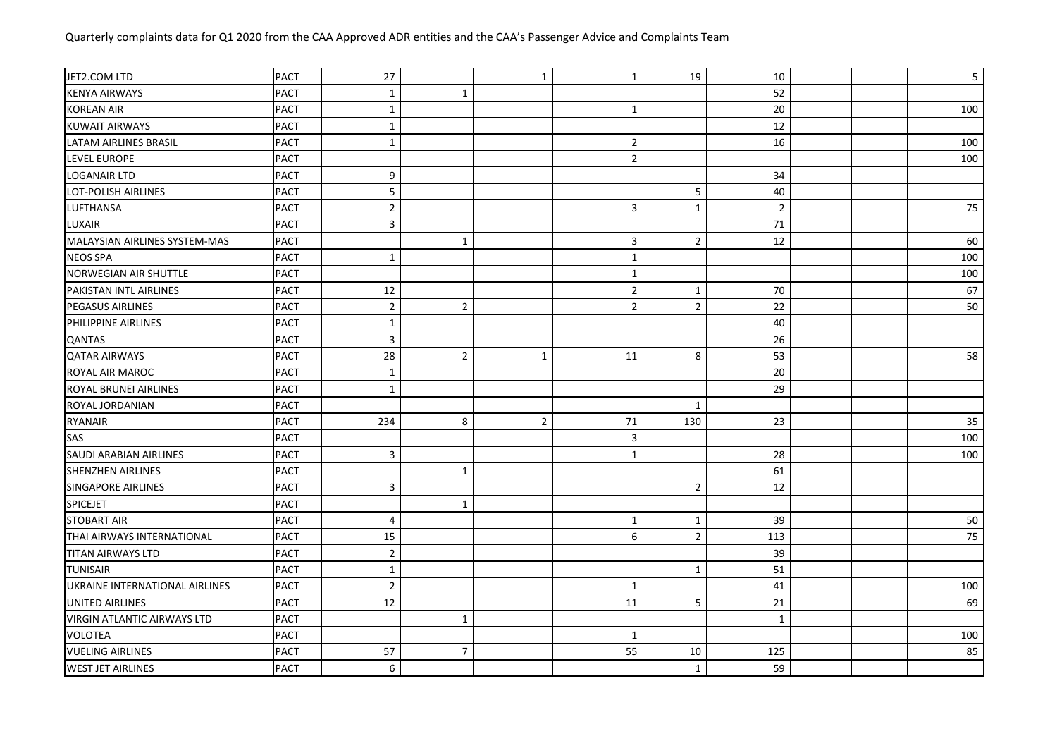| JET2.COM LTD                       | <b>PACT</b> | 27                      |                | $\mathbf{1}$   | $\mathbf{1}$   | 19             | 10             |  | $5\phantom{.}$ |
|------------------------------------|-------------|-------------------------|----------------|----------------|----------------|----------------|----------------|--|----------------|
| <b>KENYA AIRWAYS</b>               | <b>PACT</b> | $\mathbf{1}$            | $\mathbf 1$    |                |                |                | 52             |  |                |
| <b>KOREAN AIR</b>                  | <b>PACT</b> | $\mathbf{1}$            |                |                | $\mathbf{1}$   |                | 20             |  | 100            |
| <b>KUWAIT AIRWAYS</b>              | <b>PACT</b> | $\mathbf{1}$            |                |                |                |                | 12             |  |                |
| <b>LATAM AIRLINES BRASIL</b>       | <b>PACT</b> | $\mathbf{1}$            |                |                | $\overline{2}$ |                | 16             |  | 100            |
| <b>LEVEL EUROPE</b>                | <b>PACT</b> |                         |                |                | $\overline{2}$ |                |                |  | 100            |
| <b>LOGANAIR LTD</b>                | <b>PACT</b> | 9                       |                |                |                |                | 34             |  |                |
| <b>LOT-POLISH AIRLINES</b>         | <b>PACT</b> | 5                       |                |                |                | 5              | 40             |  |                |
| LUFTHANSA                          | <b>PACT</b> | $\overline{2}$          |                |                | 3              | $\mathbf{1}$   | $\overline{2}$ |  | 75             |
| LUXAIR                             | <b>PACT</b> | $\overline{\mathbf{3}}$ |                |                |                |                | $71\,$         |  |                |
| MALAYSIAN AIRLINES SYSTEM-MAS      | <b>PACT</b> |                         | $\mathbf{1}$   |                | 3              | $\overline{2}$ | 12             |  | 60             |
| <b>NEOS SPA</b>                    | <b>PACT</b> | $\mathbf{1}$            |                |                | $\mathbf{1}$   |                |                |  | 100            |
| NORWEGIAN AIR SHUTTLE              | <b>PACT</b> |                         |                |                | $\mathbf{1}$   |                |                |  | 100            |
| PAKISTAN INTL AIRLINES             | <b>PACT</b> | 12                      |                |                | $\overline{2}$ | $\mathbf{1}$   | 70             |  | 67             |
| <b>PEGASUS AIRLINES</b>            | <b>PACT</b> | $\overline{2}$          | $\sqrt{2}$     |                | $\overline{2}$ | $\overline{2}$ | 22             |  | 50             |
| PHILIPPINE AIRLINES                | <b>PACT</b> | $\mathbf{1}$            |                |                |                |                | 40             |  |                |
| QANTAS                             | <b>PACT</b> | 3                       |                |                |                |                | 26             |  |                |
| <b>QATAR AIRWAYS</b>               | <b>PACT</b> | 28                      | $\sqrt{2}$     | $\mathbf{1}$   | 11             | 8              | 53             |  | 58             |
| ROYAL AIR MAROC                    | <b>PACT</b> | $\mathbf{1}$            |                |                |                |                | 20             |  |                |
| ROYAL BRUNEI AIRLINES              | <b>PACT</b> | $\mathbf{1}$            |                |                |                |                | 29             |  |                |
| ROYAL JORDANIAN                    | <b>PACT</b> |                         |                |                |                | 1              |                |  |                |
| <b>RYANAIR</b>                     | <b>PACT</b> | 234                     | 8              | $\overline{2}$ | $71\,$         | 130            | 23             |  | 35             |
| SAS                                | <b>PACT</b> |                         |                |                | 3              |                |                |  | 100            |
| SAUDI ARABIAN AIRLINES             | <b>PACT</b> | 3                       |                |                | $\mathbf{1}$   |                | 28             |  | 100            |
| <b>SHENZHEN AIRLINES</b>           | <b>PACT</b> |                         | 1              |                |                |                | 61             |  |                |
| <b>SINGAPORE AIRLINES</b>          | <b>PACT</b> | 3                       |                |                |                | $\overline{2}$ | 12             |  |                |
| <b>SPICEJET</b>                    | <b>PACT</b> |                         | $1\,$          |                |                |                |                |  |                |
| <b>STOBART AIR</b>                 | <b>PACT</b> | $\overline{4}$          |                |                | $\mathbf{1}$   | 1              | 39             |  | 50             |
| THAI AIRWAYS INTERNATIONAL         | <b>PACT</b> | 15                      |                |                | 6              | $\overline{2}$ | 113            |  | 75             |
| <b>TITAN AIRWAYS LTD</b>           | <b>PACT</b> | $\overline{2}$          |                |                |                |                | 39             |  |                |
| <b>TUNISAIR</b>                    | <b>PACT</b> | $\mathbf{1}$            |                |                |                | $\mathbf{1}$   | 51             |  |                |
| UKRAINE INTERNATIONAL AIRLINES     | <b>PACT</b> | $\overline{2}$          |                |                | $\mathbf{1}$   |                | 41             |  | 100            |
| UNITED AIRLINES                    | <b>PACT</b> | 12                      |                |                | 11             | 5              | 21             |  | 69             |
| <b>VIRGIN ATLANTIC AIRWAYS LTD</b> | <b>PACT</b> |                         | $\mathbf 1$    |                |                |                | $\mathbf{1}$   |  |                |
| <b>VOLOTEA</b>                     | <b>PACT</b> |                         |                |                | $\mathbf{1}$   |                |                |  | 100            |
| <b>VUELING AIRLINES</b>            | <b>PACT</b> | 57                      | $\overline{7}$ |                | 55             | 10             | 125            |  | 85             |
| <b>WEST JET AIRLINES</b>           | <b>PACT</b> | 6                       |                |                |                | $\mathbf{1}$   | 59             |  |                |